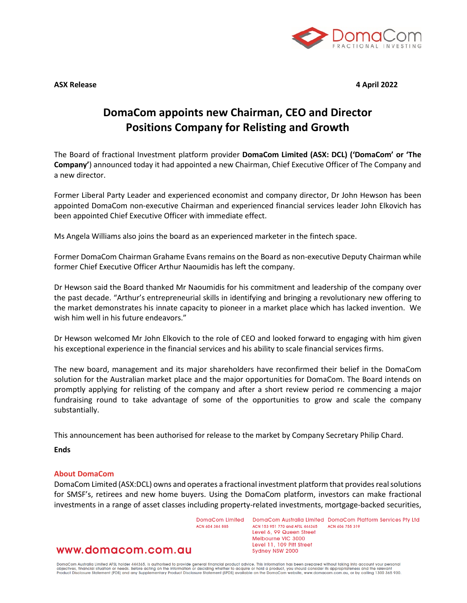

**ASX Release 4 April 2022**

## **DomaCom appoints new Chairman, CEO and Director Positions Company for Relisting and Growth**

The Board of fractional Investment platform provider **DomaCom Limited (ASX: DCL) ('DomaCom' or 'The Company'**) announced today it had appointed a new Chairman, Chief Executive Officer of The Company and a new director.

Former Liberal Party Leader and experienced economist and company director, Dr John Hewson has been appointed DomaCom non-executive Chairman and experienced financial services leader John Elkovich has been appointed Chief Executive Officer with immediate effect.

Ms Angela Williams also joins the board as an experienced marketer in the fintech space.

Former DomaCom Chairman Grahame Evans remains on the Board as non-executive Deputy Chairman while former Chief Executive Officer Arthur Naoumidis has left the company.

Dr Hewson said the Board thanked Mr Naoumidis for his commitment and leadership of the company over the past decade. "Arthur's entrepreneurial skills in identifying and bringing a revolutionary new offering to the market demonstrates his innate capacity to pioneer in a market place which has lacked invention. We wish him well in his future endeavors."

Dr Hewson welcomed Mr John Elkovich to the role of CEO and looked forward to engaging with him given his exceptional experience in the financial services and his ability to scale financial services firms.

The new board, management and its major shareholders have reconfirmed their belief in the DomaCom solution for the Australian market place and the major opportunities for DomaCom. The Board intends on promptly applying for relisting of the company and after a short review period re commencing a major fundraising round to take advantage of some of the opportunities to grow and scale the company substantially.

This announcement has been authorised for release to the market by Company Secretary Philip Chard.

**Ends**

## **About DomaCom**

DomaCom Limited (ASX:DCL) owns and operates a fractional investment platform that provides real solutions for SMSF's, retirees and new home buyers. Using the DomaCom platform, investors can make fractional investments in a range of asset classes including property-related investments, mortgage-backed securities,

> DomaCom Limited ACN ANA 384 885

DomaCom Australia Limited DomaCom Platform Services Pty Ltd ACN 606 755 319 ACN 153 951 770 and AFSL 444365 Level 6, 99 Queen Street Melbourne VIC 3000 Level 11, 109 Pitt Street Sydney NSW 2000

www.domacom.com.au

DomaCom Australia Limited AFSL holder 444365, is authorised to provide general financial product advice. This information has been prepared without taking into account your personal<br>objectives, financial situation or needs